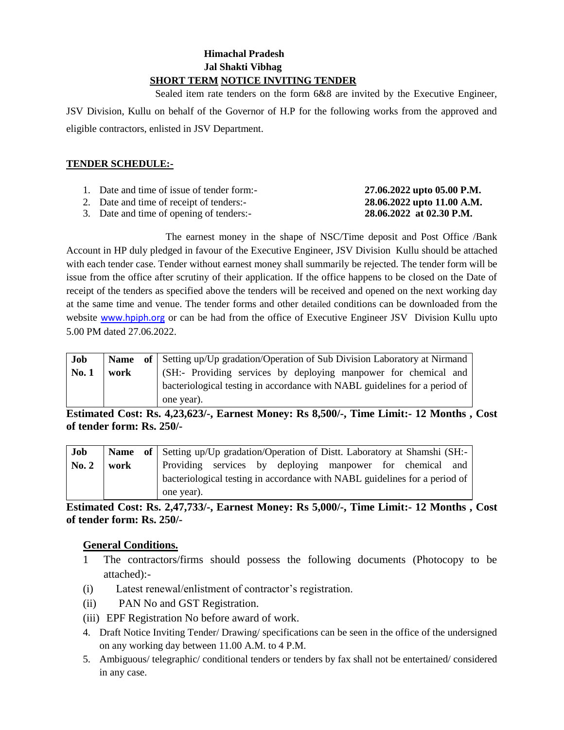# **Himachal Pradesh Jal Shakti Vibhag SHORT TERM NOTICE INVITING TENDER**

 Sealed item rate tenders on the form 6&8 are invited by the Executive Engineer, JSV Division, Kullu on behalf of the Governor of H.P for the following works from the approved and eligible contractors, enlisted in JSV Department.

## **TENDER SCHEDULE:-**

| 1. Date and time of issue of tender form:- | 27.06.2022 upto 05.00 P.M. |
|--------------------------------------------|----------------------------|
| 2. Date and time of receipt of tenders:-   | 28.06.2022 upto 11.00 A.M. |

3. Date and time of opening of tenders:- **28.06.2022 at 02.30 P.M.**

The earnest money in the shape of NSC/Time deposit and Post Office /Bank Account in HP duly pledged in favour of the Executive Engineer, JSV Division Kullu should be attached with each tender case. Tender without earnest money shall summarily be rejected. The tender form will be issue from the office after scrutiny of their application. If the office happens to be closed on the Date of receipt of the tenders as specified above the tenders will be received and opened on the next working day at the same time and venue. The tender forms and other detailed conditions can be downloaded from the website [www.hpiph.org](http://www.hpiph.org/) or can be had from the office of Executive Engineer JSV Division Kullu upto 5.00 PM dated 27.06.2022.

| Job   |      | Name of Setting up/Up gradation/Operation of Sub Division Laboratory at Nirmand |  |  |  |  |  |  |
|-------|------|---------------------------------------------------------------------------------|--|--|--|--|--|--|
| No. 1 | work | (SH:- Providing services by deploying manpower for chemical and                 |  |  |  |  |  |  |
|       |      | bacteriological testing in accordance with NABL guidelines for a period of      |  |  |  |  |  |  |
|       |      | one year).                                                                      |  |  |  |  |  |  |

**Estimated Cost: Rs. 4,23,623/-, Earnest Money: Rs 8,500/-, Time Limit:- 12 Months , Cost of tender form: Rs. 250/-**

| Job   |      | Name of Setting up/Up gradation/Operation of Distt. Laboratory at Shamshi (SH:- |  |  |  |                                                           |  |  |
|-------|------|---------------------------------------------------------------------------------|--|--|--|-----------------------------------------------------------|--|--|
| No. 2 | work |                                                                                 |  |  |  | Providing services by deploying manpower for chemical and |  |  |
|       |      | bacteriological testing in accordance with NABL guidelines for a period of      |  |  |  |                                                           |  |  |
|       |      | one year).                                                                      |  |  |  |                                                           |  |  |

**Estimated Cost: Rs. 2,47,733/-, Earnest Money: Rs 5,000/-, Time Limit:- 12 Months , Cost of tender form: Rs. 250/-**

## **General Conditions.**

- 1 The contractors/firms should possess the following documents (Photocopy to be attached):-
- (i) Latest renewal/enlistment of contractor's registration.
- (ii) PAN No and GST Registration.
- (iii) EPF Registration No before award of work.
- 4. Draft Notice Inviting Tender/ Drawing/ specifications can be seen in the office of the undersigned on any working day between 11.00 A.M. to 4 P.M.
- 5. Ambiguous/ telegraphic/ conditional tenders or tenders by fax shall not be entertained/ considered in any case.